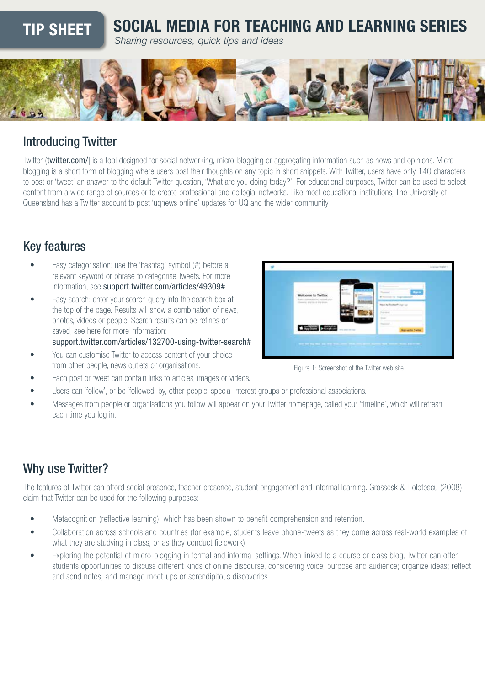# TIP SHEET SOCIAL MEDIA FOR TEACHING AND LEARNING SERIES

*Sharing resources, quick tips and ideas*



### Introducing Twitter

Twitter ([twitter.com/](https://twitter.com/)] is a tool designed for social networking, micro-blogging or aggregating information such as news and opinions. Microblogging is a short form of blogging where users post their thoughts on any topic in short snippets. With Twitter, users have only 140 characters to post or 'tweet' an answer to the default Twitter question, 'What are you doing today?'. For educational purposes, Twitter can be used to select content from a wide range of sources or to create professional and collegial networks. Like most educational institutions, The University of Queensland has a Twitter account to post 'uqnews online' updates for UQ and the wider community.

## Key features

- Easy categorisation: use the 'hashtag' symbol (#) before a relevant keyword or phrase to categorise Tweets. For more information, see [support.twitter.com/articles/49309#](https://support.twitter.com/articles/49309#).
- Easy search: enter your search query into the search box at the top of the page. Results will show a combination of news, photos, videos or people. Search results can be refines or saved, see here for more information:

[support.twitter.com/articles/132700-using-twitter-search#](https://support.twitter.com/articles/132700-using-twitter-search#)

You can customise Twitter to access content of your choice from other people, news outlets or organisations. The state of the Twitter web site of the Twitter web site



- Users can 'follow', or be 'followed' by, other people, special interest groups or professional associations.
- Messages from people or organisations you follow will appear on your Twitter homepage, called your 'timeline', which will refresh each time you log in.

## Why use Twitter?

The features of Twitter can afford social presence, teacher presence, student engagement and informal learning. Grossesk & Holotescu (2008) claim that Twitter can be used for the following purposes:

- Metacognition (reflective learning), which has been shown to benefit comprehension and retention.
- Collaboration across schools and countries (for example, students leave phone-tweets as they come across real-world examples of what they are studying in class, or as they conduct fieldwork).
- Exploring the potential of micro-blogging in formal and informal settings. When linked to a course or class blog, Twitter can offer students opportunities to discuss different kinds of online discourse, considering voice, purpose and audience; organize ideas; reflect and send notes; and manage meet-ups or serendipitous discoveries.